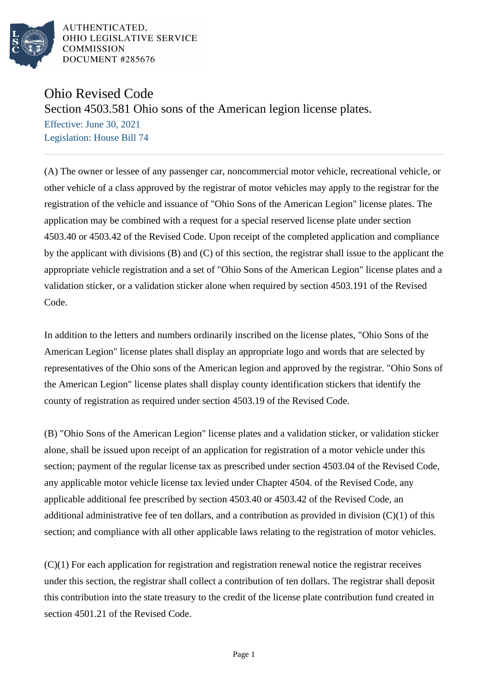

AUTHENTICATED. OHIO LEGISLATIVE SERVICE **COMMISSION** DOCUMENT #285676

## Ohio Revised Code

Section 4503.581 Ohio sons of the American legion license plates.

Effective: June 30, 2021 Legislation: House Bill 74

(A) The owner or lessee of any passenger car, noncommercial motor vehicle, recreational vehicle, or other vehicle of a class approved by the registrar of motor vehicles may apply to the registrar for the registration of the vehicle and issuance of "Ohio Sons of the American Legion" license plates. The application may be combined with a request for a special reserved license plate under section 4503.40 or 4503.42 of the Revised Code. Upon receipt of the completed application and compliance by the applicant with divisions (B) and (C) of this section, the registrar shall issue to the applicant the appropriate vehicle registration and a set of "Ohio Sons of the American Legion" license plates and a validation sticker, or a validation sticker alone when required by section 4503.191 of the Revised Code.

In addition to the letters and numbers ordinarily inscribed on the license plates, "Ohio Sons of the American Legion" license plates shall display an appropriate logo and words that are selected by representatives of the Ohio sons of the American legion and approved by the registrar. "Ohio Sons of the American Legion" license plates shall display county identification stickers that identify the county of registration as required under section 4503.19 of the Revised Code.

(B) "Ohio Sons of the American Legion" license plates and a validation sticker, or validation sticker alone, shall be issued upon receipt of an application for registration of a motor vehicle under this section; payment of the regular license tax as prescribed under section 4503.04 of the Revised Code, any applicable motor vehicle license tax levied under Chapter 4504. of the Revised Code, any applicable additional fee prescribed by section 4503.40 or 4503.42 of the Revised Code, an additional administrative fee of ten dollars, and a contribution as provided in division  $(C)(1)$  of this section; and compliance with all other applicable laws relating to the registration of motor vehicles.

(C)(1) For each application for registration and registration renewal notice the registrar receives under this section, the registrar shall collect a contribution of ten dollars. The registrar shall deposit this contribution into the state treasury to the credit of the license plate contribution fund created in section 4501.21 of the Revised Code.